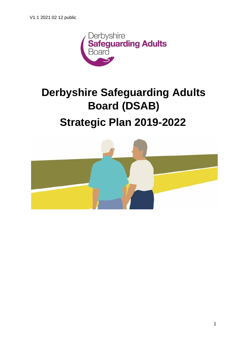

# **Derbyshire Safeguarding Adults Board (DSAB)**

# **Strategic Plan 2019-2022**

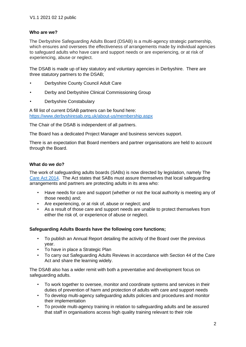## **Who are we?**

The Derbyshire Safeguarding Adults Board (DSAB) is a multi-agency strategic partnership, which ensures and oversees the effectiveness of arrangements made by individual agencies to safeguard adults who have care and support needs or are experiencing, or at risk of experiencing, abuse or neglect.

The DSAB is made up of key statutory and voluntary agencies in Derbyshire. There are three statutory partners to the DSAB;

- Derbyshire County Council Adult Care
- Derby and Derbyshire Clinical Commissioning Group
- Derbyshire Constabulary

A fill list of current DSAB partners can be found here: <https://www.derbyshiresab.org.uk/about-us/membership.aspx>

The Chair of the DSAB is independent of all partners.

The Board has a dedicated Project Manager and business services support.

There is an expectation that Board members and partner organisations are held to account through the Board.

#### **What do we do?**

The work of safeguarding adults boards (SABs) is now directed by legislation, namely The [Care Act 2014.](https://www.gov.uk/government/publications/care-act-statutory-guidance/care-and-support-statutory-guidance) The Act states that SABs must assure themselves that local safeguarding arrangements and partners are protecting adults in its area who:

- Have needs for care and support (whether or not the local authority is meeting any of those needs) and;
- Are experiencing, or at risk of, abuse or neglect; and
- As a result of those care and support needs are unable to protect themselves from either the risk of, or experience of abuse or neglect.

# **Safeguarding Adults Boards have the following core functions;**

- To publish an Annual Report detailing the activity of the Board over the previous year.
- To have in place a Strategic Plan
- To carry out Safeguarding Adults Reviews in accordance with Section 44 of the Care Act and share the learning widely.

The DSAB also has a wider remit with both a preventative and development focus on safeguarding adults.

- To work together to oversee, monitor and coordinate systems and services in their duties of prevention of harm and protection of adults with care and support needs
- To develop multi-agency safeguarding adults policies and procedures and monitor their implementation
- To provide multi-agency training in relation to safeguarding adults and be assured that staff in organisations access high quality training relevant to their role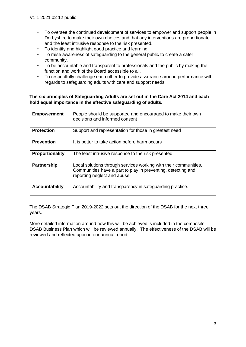- To oversee the continued development of services to empower and support people in Derbyshire to make their own choices and that any interventions are proportionate and the least intrusive response to the risk presented.
- To identify and highlight good practice and learning
- To raise awareness of safeguarding to the general public to create a safer community.
- To be accountable and transparent to professionals and the public by making the function and work of the Board accessible to all.
- To respectfully challenge each other to provide assurance around performance with regards to safeguarding adults with care and support needs.

## **The six principles of Safeguarding Adults are set out in the Care Act 2014 and each hold equal importance in the effective safeguarding of adults.**

| <b>Empowerment</b>     | People should be supported and encouraged to make their own<br>decisions and informed consent                                                                    |
|------------------------|------------------------------------------------------------------------------------------------------------------------------------------------------------------|
| <b>Protection</b>      | Support and representation for those in greatest need                                                                                                            |
| <b>Prevention</b>      | It is better to take action before harm occurs                                                                                                                   |
| <b>Proportionality</b> | The least intrusive response to the risk presented                                                                                                               |
| <b>Partnership</b>     | Local solutions through services working with their communities.<br>Communities have a part to play in preventing, detecting and<br>reporting neglect and abuse. |
| <b>Accountability</b>  | Accountability and transparency in safeguarding practice.                                                                                                        |

The DSAB Strategic Plan 2019-2022 sets out the direction of the DSAB for the next three years.

More detailed information around how this will be achieved is included in the composite DSAB Business Plan which will be reviewed annually. The effectiveness of the DSAB will be reviewed and reflected upon in our annual report.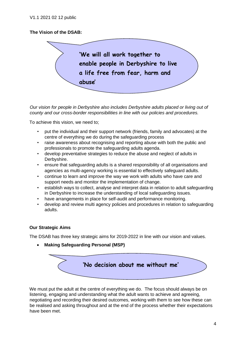# **The Vision of the DSAB:**



*Our vision for people in Derbyshire also includes Derbyshire adults placed or living out of county and our cross-border responsibilities in line with our policies and procedures.* 

To achieve this vision, we need to;

- put the individual and their support network (friends, family and advocates) at the centre of everything we do during the safeguarding process
- raise awareness about recognising and reporting abuse with both the public and professionals to promote the safeguarding adults agenda.
- develop preventative strategies to reduce the abuse and neglect of adults in Derbyshire.
- ensure that safeguarding adults is a shared responsibility of all organisations and agencies as multi-agency working is essential to effectively safeguard adults.
- continue to learn and improve the way we work with adults who have care and support needs and monitor the implementation of change.
- establish ways to collect, analyse and interpret data in relation to adult safeguarding in Derbyshire to increase the understanding of local safeguarding issues.
- have arrangements in place for self-audit and performance monitoring.
- develop and review multi agency policies and procedures in relation to safeguarding adults.

#### **Our Strategic Aims**

The DSAB has three key strategic aims for 2019-2022 in line with our vision and values.

• **Making Safeguarding Personal (MSP)** 



We must put the adult at the centre of everything we do. The focus should always be on listening, engaging and understanding what the adult wants to achieve and agreeing, negotiating and recording their desired outcomes, working with them to see how these can be realised and asking throughout and at the end of the process whether their expectations have been met.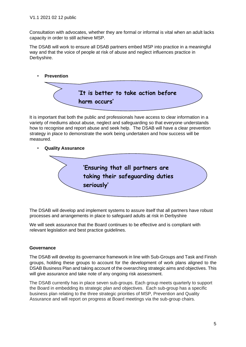Consultation with advocates, whether they are formal or informal is vital when an adult lacks capacity in order to still achieve MSP.

The DSAB will work to ensure all DSAB partners embed MSP into practice in a meaningful way and that the voice of people at risk of abuse and neglect influences practice in Derbyshire.



It is important that both the public and professionals have access to clear information in a variety of mediums about abuse, neglect and safeguarding so that everyone understands how to recognise and report abuse and seek help. The DSAB will have a clear prevention strategy in place to demonstrate the work being undertaken and how success will be measured.

• **Quality Assurance**



The DSAB will develop and implement systems to assure itself that all partners have robust processes and arrangements in place to safeguard adults at risk in Derbyshire

We will seek assurance that the Board continues to be effective and is compliant with relevant legislation and best practice guidelines.

# **Governance**

The DSAB will develop its governance framework in line with Sub-Groups and Task and Finish groups, holding these groups to account for the development of work plans aligned to the DSAB Business Plan and taking account of the overarching strategic aims and objectives. This will give assurance and take note of any ongoing risk assessment.

The DSAB currently has in place seven sub-groups. Each group meets quarterly to support the Board in embedding its strategic plan and objectives. Each sub-group has a specific business plan relating to the three strategic priorities of MSP, Prevention and Quality Assurance and will report on progress at Board meetings via the sub-group chairs.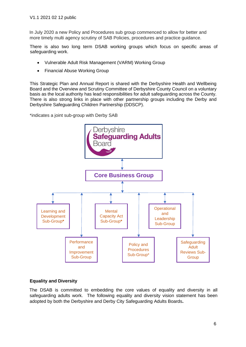In July 2020 a new Policy and Procedures sub group commenced to allow for better and more timely multi agency scrutiny of SAB Policies, procedures and practice guidance.

There is also two long term DSAB working groups which focus on specific areas of safeguarding work.

- Vulnerable Adult Risk Management (VARM) Working Group
- Financial Abuse Working Group

This Strategic Plan and Annual Report is shared with the Derbyshire Health and Wellbeing Board and the Overview and Scrutiny Committee of Derbyshire County Council on a voluntary basis as the local authority has lead responsibilities for adult safeguarding across the County. There is also strong links in place with other partnership groups including the Derby and Derbyshire Safeguarding Children Partnership (DDSCP).

\*indicates a joint sub-group with Derby SAB



# **Equality and Diversity**

The DSAB is committed to embedding the core values of equality and diversity in all safeguarding adults work. The following equality and diversity vision statement has been adopted by both the Derbyshire and Derby City Safeguarding Adults Boards**.**